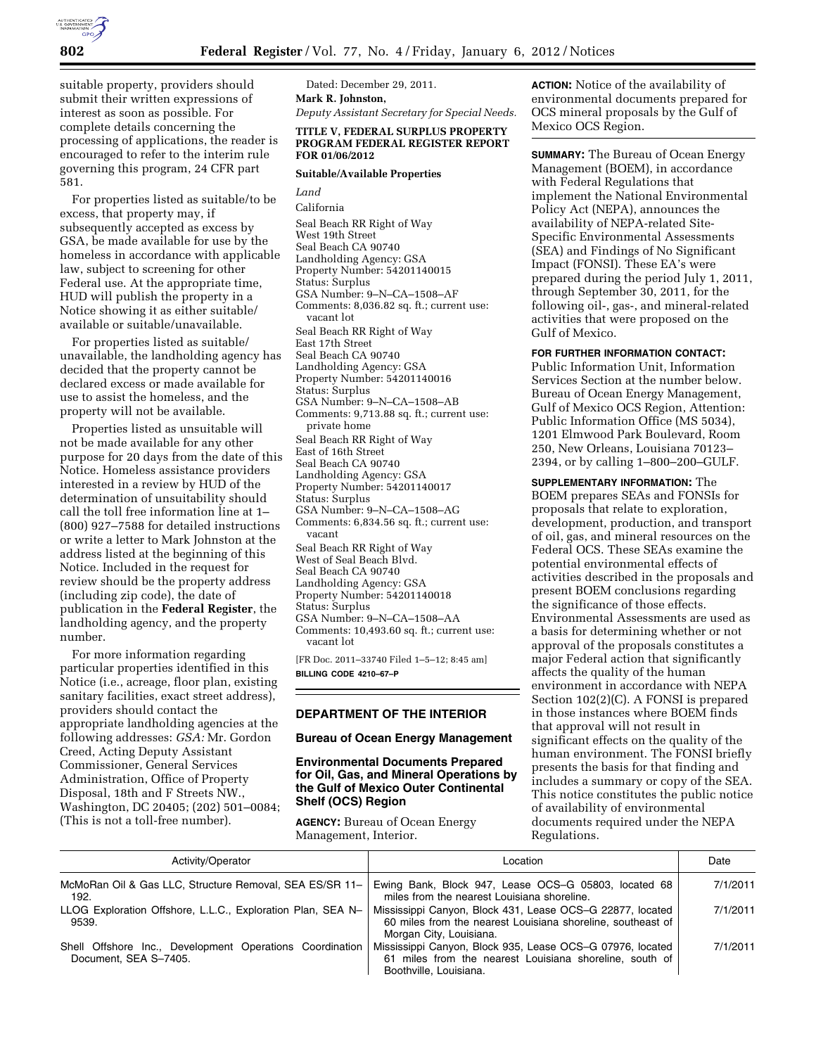

suitable property, providers should submit their written expressions of interest as soon as possible. For complete details concerning the processing of applications, the reader is encouraged to refer to the interim rule governing this program, 24 CFR part 581.

For properties listed as suitable/to be excess, that property may, if subsequently accepted as excess by GSA, be made available for use by the homeless in accordance with applicable law, subject to screening for other Federal use. At the appropriate time, HUD will publish the property in a Notice showing it as either suitable/ available or suitable/unavailable.

For properties listed as suitable/ unavailable, the landholding agency has decided that the property cannot be declared excess or made available for use to assist the homeless, and the property will not be available.

Properties listed as unsuitable will not be made available for any other purpose for 20 days from the date of this Notice. Homeless assistance providers interested in a review by HUD of the determination of unsuitability should call the toll free information line at 1– (800) 927–7588 for detailed instructions or write a letter to Mark Johnston at the address listed at the beginning of this Notice. Included in the request for review should be the property address (including zip code), the date of publication in the **Federal Register**, the landholding agency, and the property number.

For more information regarding particular properties identified in this Notice (i.e., acreage, floor plan, existing sanitary facilities, exact street address), providers should contact the appropriate landholding agencies at the following addresses: *GSA:* Mr. Gordon Creed, Acting Deputy Assistant Commissioner, General Services Administration, Office of Property Disposal, 18th and F Streets NW., Washington, DC 20405; (202) 501–0084; (This is not a toll-free number).

Dated: December 29, 2011. **Mark R. Johnston,** 

*Deputy Assistant Secretary for Special Needs.* 

## **TITLE V, FEDERAL SURPLUS PROPERTY PROGRAM FEDERAL REGISTER REPORT FOR 01/06/2012**

## **Suitable/Available Properties**

*Land*  California Seal Beach RR Right of Way West 19th Street Seal Beach CA 90740 Landholding Agency: GSA Property Number: 54201140015 Status: Surplus GSA Number: 9–N–CA–1508–AF Comments: 8,036.82 sq. ft.; current use: vacant lot Seal Beach RR Right of Way East 17th Street Seal Beach CA 90740 Landholding Agency: GSA Property Number: 54201140016 Status: Surplus GSA Number: 9–N–CA–1508–AB Comments: 9,713.88 sq. ft.; current use: private home Seal Beach RR Right of Way East of 16th Street Seal Beach CA 90740 Landholding Agency: GSA Property Number: 54201140017 Status: Surplus GSA Number: 9–N–CA–1508–AG Comments: 6,834.56 sq. ft.; current use: vacant Seal Beach RR Right of Way West of Seal Beach Blvd. Seal Beach CA 90740 Landholding Agency: GSA Property Number: 54201140018 Status: Surplus GSA Number: 9–N–CA–1508–AA Comments: 10,493.60 sq. ft.; current use: vacant lot

[FR Doc. 2011–33740 Filed 1–5–12; 8:45 am] **BILLING CODE 4210–67–P** 

# **DEPARTMENT OF THE INTERIOR**

## **Bureau of Ocean Energy Management**

# **Environmental Documents Prepared for Oil, Gas, and Mineral Operations by the Gulf of Mexico Outer Continental Shelf (OCS) Region**

**AGENCY:** Bureau of Ocean Energy Management, Interior.

**ACTION:** Notice of the availability of environmental documents prepared for OCS mineral proposals by the Gulf of Mexico OCS Region.

**SUMMARY:** The Bureau of Ocean Energy Management (BOEM), in accordance with Federal Regulations that implement the National Environmental Policy Act (NEPA), announces the availability of NEPA-related Site-Specific Environmental Assessments (SEA) and Findings of No Significant Impact (FONSI). These EA's were prepared during the period July 1, 2011, through September 30, 2011, for the following oil-, gas-, and mineral-related activities that were proposed on the Gulf of Mexico.

## **FOR FURTHER INFORMATION CONTACT:**

Public Information Unit, Information Services Section at the number below. Bureau of Ocean Energy Management, Gulf of Mexico OCS Region, Attention: Public Information Office (MS 5034), 1201 Elmwood Park Boulevard, Room 250, New Orleans, Louisiana 70123– 2394, or by calling 1–800–200–GULF.

#### **SUPPLEMENTARY INFORMATION:** The

BOEM prepares SEAs and FONSIs for proposals that relate to exploration, development, production, and transport of oil, gas, and mineral resources on the Federal OCS. These SEAs examine the potential environmental effects of activities described in the proposals and present BOEM conclusions regarding the significance of those effects. Environmental Assessments are used as a basis for determining whether or not approval of the proposals constitutes a major Federal action that significantly affects the quality of the human environment in accordance with NEPA Section 102(2)(C). A FONSI is prepared in those instances where BOEM finds that approval will not result in significant effects on the quality of the human environment. The FONSI briefly presents the basis for that finding and includes a summary or copy of the SEA. This notice constitutes the public notice of availability of environmental documents required under the NEPA Regulations.

| Activity/Operator                                                                 | Location                                                                                                                                            | Date     |
|-----------------------------------------------------------------------------------|-----------------------------------------------------------------------------------------------------------------------------------------------------|----------|
| McMoRan Oil & Gas LLC, Structure Removal, SEA ES/SR 11-  <br>192.                 | Ewing Bank, Block 947, Lease OCS-G 05803, located 68<br>miles from the nearest Louisiana shoreline.                                                 | 7/1/2011 |
| LLOG Exploration Offshore, L.L.C., Exploration Plan, SEA N-<br>9539.              | Mississippi Canyon, Block 431, Lease OCS-G 22877, located<br>60 miles from the nearest Louisiana shoreline, southeast of<br>Morgan City, Louisiana. | 7/1/2011 |
| Shell Offshore Inc., Development Operations Coordination<br>Document, SEA S-7405. | Mississippi Canyon, Block 935, Lease OCS-G 07976, located<br>61 miles from the nearest Louisiana shoreline, south of<br>Boothville, Louisiana.      | 7/1/2011 |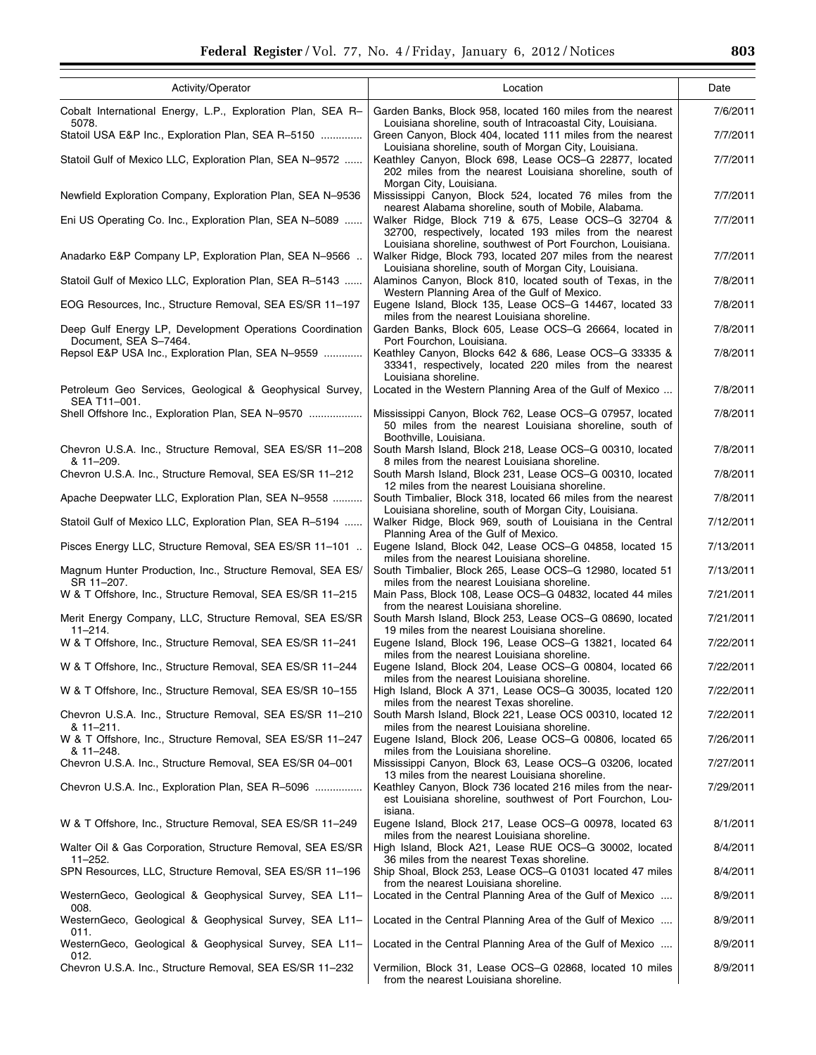| Activity/Operator                                                                 | Location                                                                                                                                                                     | Date      |
|-----------------------------------------------------------------------------------|------------------------------------------------------------------------------------------------------------------------------------------------------------------------------|-----------|
| Cobalt International Energy, L.P., Exploration Plan, SEA R-<br>5078.              | Garden Banks, Block 958, located 160 miles from the nearest<br>Louisiana shoreline, south of Intracoastal City, Louisiana.                                                   | 7/6/2011  |
| Statoil USA E&P Inc., Exploration Plan, SEA R-5150                                | Green Canyon, Block 404, located 111 miles from the nearest<br>Louisiana shoreline, south of Morgan City, Louisiana.                                                         | 7/7/2011  |
| Statoil Gulf of Mexico LLC, Exploration Plan, SEA N-9572                          | Keathley Canyon, Block 698, Lease OCS-G 22877, located<br>202 miles from the nearest Louisiana shoreline, south of<br>Morgan City, Louisiana.                                | 7/7/2011  |
| Newfield Exploration Company, Exploration Plan, SEA N-9536                        | Mississippi Canyon, Block 524, located 76 miles from the<br>nearest Alabama shoreline, south of Mobile, Alabama.                                                             | 7/7/2011  |
| Eni US Operating Co. Inc., Exploration Plan, SEA N-5089                           | Walker Ridge, Block 719 & 675, Lease OCS-G 32704 &<br>32700, respectively, located 193 miles from the nearest<br>Louisiana shoreline, southwest of Port Fourchon, Louisiana. | 7/7/2011  |
| Anadarko E&P Company LP, Exploration Plan, SEA N–9566                             | Walker Ridge, Block 793, located 207 miles from the nearest<br>Louisiana shoreline, south of Morgan City, Louisiana.                                                         | 7/7/2011  |
| Statoil Gulf of Mexico LLC, Exploration Plan, SEA R–5143                          | Alaminos Canyon, Block 810, located south of Texas, in the<br>Western Planning Area of the Gulf of Mexico.                                                                   | 7/8/2011  |
| EOG Resources, Inc., Structure Removal, SEA ES/SR 11–197                          | Eugene Island, Block 135, Lease OCS-G 14467, located 33<br>miles from the nearest Louisiana shoreline.                                                                       | 7/8/2011  |
| Deep Gulf Energy LP, Development Operations Coordination<br>Document, SEA S-7464. | Garden Banks, Block 605, Lease OCS-G 26664, located in<br>Port Fourchon, Louisiana.                                                                                          | 7/8/2011  |
| Repsol E&P USA Inc., Exploration Plan, SEA N-9559                                 | Keathley Canyon, Blocks 642 & 686, Lease OCS-G 33335 &<br>33341, respectively, located 220 miles from the nearest<br>Louisiana shoreline.                                    | 7/8/2011  |
| Petroleum Geo Services, Geological & Geophysical Survey,<br>SEA T11-001.          | Located in the Western Planning Area of the Gulf of Mexico                                                                                                                   | 7/8/2011  |
| Shell Offshore Inc., Exploration Plan, SEA N-9570                                 | Mississippi Canyon, Block 762, Lease OCS–G 07957, located<br>50 miles from the nearest Louisiana shoreline, south of<br>Boothville, Louisiana.                               | 7/8/2011  |
| Chevron U.S.A. Inc., Structure Removal, SEA ES/SR 11-208<br>& 11-209.             | South Marsh Island, Block 218, Lease OCS-G 00310, located<br>8 miles from the nearest Louisiana shoreline.                                                                   | 7/8/2011  |
| Chevron U.S.A. Inc., Structure Removal, SEA ES/SR 11–212                          | South Marsh Island, Block 231, Lease OCS-G 00310, located<br>12 miles from the nearest Louisiana shoreline.                                                                  | 7/8/2011  |
| Apache Deepwater LLC, Exploration Plan, SEA N–9558                                | South Timbalier, Block 318, located 66 miles from the nearest<br>Louisiana shoreline, south of Morgan City, Louisiana.                                                       | 7/8/2011  |
| Statoil Gulf of Mexico LLC, Exploration Plan, SEA R-5194                          | Walker Ridge, Block 969, south of Louisiana in the Central<br>Planning Area of the Gulf of Mexico.                                                                           | 7/12/2011 |
| Pisces Energy LLC, Structure Removal, SEA ES/SR 11-101                            | Eugene Island, Block 042, Lease OCS-G 04858, located 15<br>miles from the nearest Louisiana shoreline.                                                                       | 7/13/2011 |
| Magnum Hunter Production, Inc., Structure Removal, SEA ES/<br>SR 11-207.          | South Timbalier, Block 265, Lease OCS-G 12980, located 51<br>miles from the nearest Louisiana shoreline.                                                                     | 7/13/2011 |
| W & T Offshore, Inc., Structure Removal, SEA ES/SR 11-215                         | Main Pass, Block 108, Lease OCS-G 04832, located 44 miles<br>from the nearest Louisiana shoreline.                                                                           | 7/21/2011 |
| Merit Energy Company, LLC, Structure Removal, SEA ES/SR<br>$11 - 214$ .           | South Marsh Island, Block 253, Lease OCS-G 08690, located<br>19 miles from the nearest Louisiana shoreline.                                                                  | 7/21/2011 |
| W & T Offshore, Inc., Structure Removal, SEA ES/SR 11–241                         | Eugene Island, Block 196, Lease OCS-G 13821, located 64<br>miles from the nearest Louisiana shoreline.                                                                       | 7/22/2011 |
| W & T Offshore, Inc., Structure Removal, SEA ES/SR 11-244                         | Eugene Island, Block 204, Lease OCS-G 00804, located 66<br>miles from the nearest Louisiana shoreline.                                                                       | 7/22/2011 |
| W & T Offshore, Inc., Structure Removal, SEA ES/SR 10–155                         | High Island, Block A 371, Lease OCS-G 30035, located 120<br>miles from the nearest Texas shoreline.                                                                          | 7/22/2011 |
| Chevron U.S.A. Inc., Structure Removal, SEA ES/SR 11-210<br>& 11-211.             | South Marsh Island, Block 221, Lease OCS 00310, located 12<br>miles from the nearest Louisiana shoreline.                                                                    | 7/22/2011 |
| W & T Offshore, Inc., Structure Removal, SEA ES/SR 11-247<br>& 11-248.            | Eugene Island, Block 206, Lease OCS-G 00806, located 65<br>miles from the Louisiana shoreline.                                                                               | 7/26/2011 |
| Chevron U.S.A. Inc., Structure Removal, SEA ES/SR 04–001                          | Mississippi Canyon, Block 63, Lease OCS–G 03206, located<br>13 miles from the nearest Louisiana shoreline.                                                                   | 7/27/2011 |
| Chevron U.S.A. Inc., Exploration Plan, SEA R-5096                                 | Keathley Canyon, Block 736 located 216 miles from the near-<br>est Louisiana shoreline, southwest of Port Fourchon, Lou-<br>isiana.                                          | 7/29/2011 |
| W & T Offshore, Inc., Structure Removal, SEA ES/SR 11–249                         | Eugene Island, Block 217, Lease OCS-G 00978, located 63<br>miles from the nearest Louisiana shoreline.                                                                       | 8/1/2011  |
| Walter Oil & Gas Corporation, Structure Removal, SEA ES/SR<br>$11 - 252.$         | High Island, Block A21, Lease RUE OCS-G 30002, located<br>36 miles from the nearest Texas shoreline.                                                                         | 8/4/2011  |
| SPN Resources, LLC, Structure Removal, SEA ES/SR 11–196                           | Ship Shoal, Block 253, Lease OCS–G 01031 located 47 miles<br>from the nearest Louisiana shoreline.                                                                           | 8/4/2011  |
| WesternGeco, Geological & Geophysical Survey, SEA L11-<br>008.                    | Located in the Central Planning Area of the Gulf of Mexico                                                                                                                   | 8/9/2011  |
| WesternGeco, Geological & Geophysical Survey, SEA L11-<br>011.                    | Located in the Central Planning Area of the Gulf of Mexico                                                                                                                   | 8/9/2011  |
| WesternGeco, Geological & Geophysical Survey, SEA L11-<br>012.                    | Located in the Central Planning Area of the Gulf of Mexico                                                                                                                   | 8/9/2011  |
| Chevron U.S.A. Inc., Structure Removal, SEA ES/SR 11–232                          | Vermilion, Block 31, Lease OCS-G 02868, located 10 miles<br>from the nearest Louisiana shoreline.                                                                            | 8/9/2011  |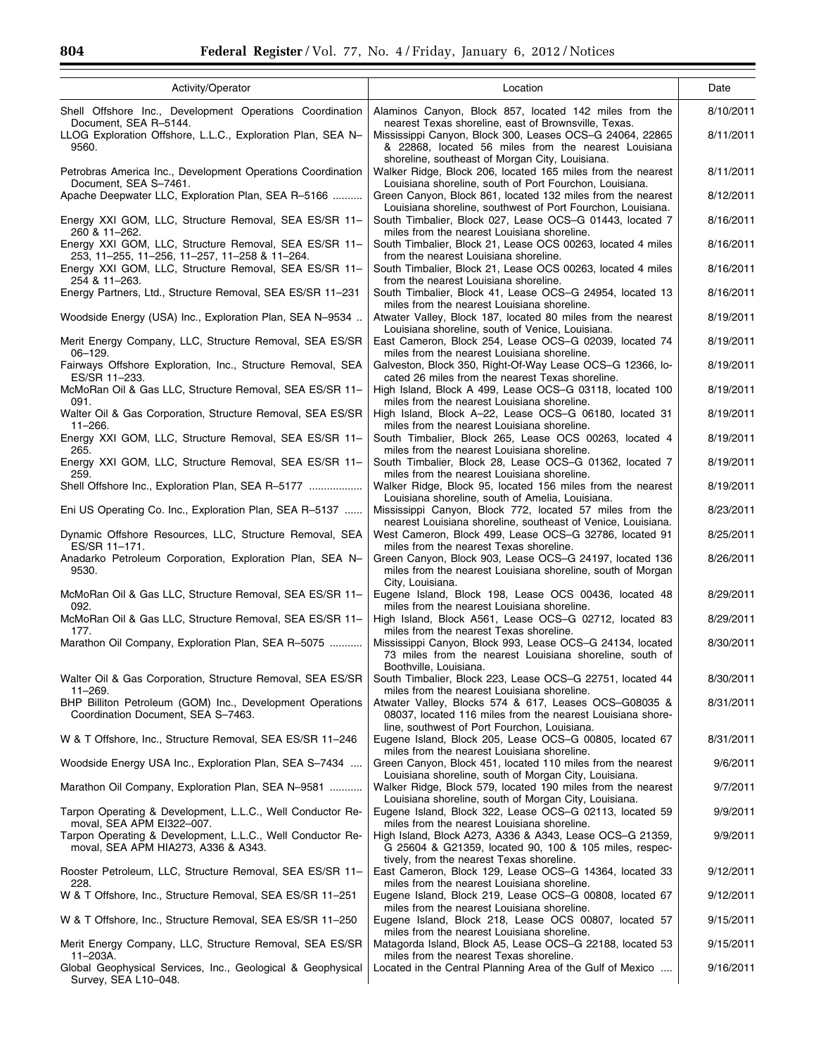| Activity/Operator                                                                                                              | Location                                                                                                                                                               | Date      |
|--------------------------------------------------------------------------------------------------------------------------------|------------------------------------------------------------------------------------------------------------------------------------------------------------------------|-----------|
| Shell Offshore Inc., Development Operations Coordination<br>Document, SEA R-5144.                                              | Alaminos Canyon, Block 857, located 142 miles from the<br>nearest Texas shoreline, east of Brownsville, Texas.                                                         | 8/10/2011 |
| LLOG Exploration Offshore, L.L.C., Exploration Plan, SEA N-<br>9560.                                                           | Mississippi Canyon, Block 300, Leases OCS-G 24064, 22865<br>& 22868, located 56 miles from the nearest Louisiana<br>shoreline, southeast of Morgan City, Louisiana.    | 8/11/2011 |
| Petrobras America Inc., Development Operations Coordination<br>Document, SEA S-7461.                                           | Walker Ridge, Block 206, located 165 miles from the nearest<br>Louisiana shoreline, south of Port Fourchon, Louisiana.                                                 | 8/11/2011 |
| Apache Deepwater LLC, Exploration Plan, SEA R-5166                                                                             | Green Canyon, Block 861, located 132 miles from the nearest                                                                                                            | 8/12/2011 |
| Energy XXI GOM, LLC, Structure Removal, SEA ES/SR 11-<br>260 & 11-262.                                                         | Louisiana shoreline, southwest of Port Fourchon, Louisiana.<br>South Timbalier, Block 027, Lease OCS-G 01443, located 7<br>miles from the nearest Louisiana shoreline. | 8/16/2011 |
| Energy XXI GOM, LLC, Structure Removal, SEA ES/SR 11-<br>253, 11-255, 11-256, 11-257, 11-258 & 11-264.                         | South Timbalier, Block 21, Lease OCS 00263, located 4 miles<br>from the nearest Louisiana shoreline.                                                                   | 8/16/2011 |
| Energy XXI GOM, LLC, Structure Removal, SEA ES/SR 11-<br>254 & 11-263.                                                         | South Timbalier, Block 21, Lease OCS 00263, located 4 miles<br>from the nearest Louisiana shoreline.                                                                   | 8/16/2011 |
| Energy Partners, Ltd., Structure Removal, SEA ES/SR 11-231                                                                     | South Timbalier, Block 41, Lease OCS-G 24954, located 13<br>miles from the nearest Louisiana shoreline.                                                                | 8/16/2011 |
| Woodside Energy (USA) Inc., Exploration Plan, SEA N-9534                                                                       | Atwater Valley, Block 187, located 80 miles from the nearest<br>Louisiana shoreline, south of Venice, Louisiana.                                                       | 8/19/2011 |
| Merit Energy Company, LLC, Structure Removal, SEA ES/SR<br>$06 - 129.$                                                         | East Cameron, Block 254, Lease OCS-G 02039, located 74<br>miles from the nearest Louisiana shoreline.                                                                  | 8/19/2011 |
| Fairways Offshore Exploration, Inc., Structure Removal, SEA<br>ES/SR 11-233.                                                   | Galveston, Block 350, Right-Of-Way Lease OCS-G 12366, lo-<br>cated 26 miles from the nearest Texas shoreline.                                                          | 8/19/2011 |
| McMoRan Oil & Gas LLC, Structure Removal, SEA ES/SR 11-<br>091.                                                                | High Island, Block A 499, Lease OCS-G 03118, located 100<br>miles from the nearest Louisiana shoreline.                                                                | 8/19/2011 |
| Walter Oil & Gas Corporation, Structure Removal, SEA ES/SR<br>$11 - 266$ .                                                     | High Island, Block A-22, Lease OCS-G 06180, located 31<br>miles from the nearest Louisiana shoreline.                                                                  | 8/19/2011 |
| Energy XXI GOM, LLC, Structure Removal, SEA ES/SR 11-<br>265.                                                                  | South Timbalier, Block 265, Lease OCS 00263, located 4<br>miles from the nearest Louisiana shoreline.                                                                  | 8/19/2011 |
| Energy XXI GOM, LLC, Structure Removal, SEA ES/SR 11-<br>259.                                                                  | South Timbalier, Block 28, Lease OCS-G 01362, located 7<br>miles from the nearest Louisiana shoreline.                                                                 | 8/19/2011 |
| Shell Offshore Inc., Exploration Plan, SEA R-5177                                                                              | Walker Ridge, Block 95, located 156 miles from the nearest<br>Louisiana shoreline, south of Amelia, Louisiana.                                                         | 8/19/2011 |
| Eni US Operating Co. Inc., Exploration Plan, SEA R-5137                                                                        | Mississippi Canyon, Block 772, located 57 miles from the<br>nearest Louisiana shoreline, southeast of Venice, Louisiana.                                               | 8/23/2011 |
| Dynamic Offshore Resources, LLC, Structure Removal, SEA<br>ES/SR 11-171.                                                       | West Cameron, Block 499, Lease OCS-G 32786, located 91<br>miles from the nearest Texas shoreline.                                                                      | 8/25/2011 |
| Anadarko Petroleum Corporation, Exploration Plan, SEA N-<br>9530.                                                              | Green Canyon, Block 903, Lease OCS-G 24197, located 136<br>miles from the nearest Louisiana shoreline, south of Morgan<br>City, Louisiana.                             | 8/26/2011 |
| McMoRan Oil & Gas LLC, Structure Removal, SEA ES/SR 11-<br>092.                                                                | Eugene Island, Block 198, Lease OCS 00436, located 48<br>miles from the nearest Louisiana shoreline.                                                                   | 8/29/2011 |
| McMoRan Oil & Gas LLC, Structure Removal, SEA ES/SR 11-<br>177.                                                                | High Island, Block A561, Lease OCS-G 02712, located 83<br>miles from the nearest Texas shoreline.                                                                      | 8/29/2011 |
| Marathon Oil Company, Exploration Plan, SEA R-5075                                                                             | Mississippi Canyon, Block 993, Lease OCS-G 24134, located<br>73 miles from the nearest Louisiana shoreline, south of                                                   | 8/30/2011 |
| Walter Oil & Gas Corporation, Structure Removal, SEA ES/SR<br>$11 - 269.$                                                      | Boothville, Louisiana.<br>South Timbalier, Block 223, Lease OCS-G 22751, located 44<br>miles from the nearest Louisiana shoreline.                                     | 8/30/2011 |
| BHP Billiton Petroleum (GOM) Inc., Development Operations<br>Coordination Document, SEA S-7463.                                | Atwater Valley, Blocks 574 & 617, Leases OCS-G08035 &<br>08037, located 116 miles from the nearest Louisiana shore-                                                    | 8/31/2011 |
| W & T Offshore, Inc., Structure Removal, SEA ES/SR 11-246                                                                      | line, southwest of Port Fourchon, Louisiana.<br>Eugene Island, Block 205, Lease OCS-G 00805, located 67                                                                | 8/31/2011 |
| Woodside Energy USA Inc., Exploration Plan, SEA S-7434                                                                         | miles from the nearest Louisiana shoreline.<br>Green Canyon, Block 451, located 110 miles from the nearest                                                             | 9/6/2011  |
| Marathon Oil Company, Exploration Plan, SEA N-9581                                                                             | Louisiana shoreline, south of Morgan City, Louisiana.<br>Walker Ridge, Block 579, located 190 miles from the nearest                                                   | 9/7/2011  |
| Tarpon Operating & Development, L.L.C., Well Conductor Re-                                                                     | Louisiana shoreline, south of Morgan City, Louisiana.<br>Eugene Island, Block 322, Lease OCS-G 02113, located 59                                                       | 9/9/2011  |
| moval, SEA APM EI322-007.<br>Tarpon Operating & Development, L.L.C., Well Conductor Re-<br>moval, SEA APM HIA273, A336 & A343. | miles from the nearest Louisiana shoreline.<br>High Island, Block A273, A336 & A343, Lease OCS-G 21359,<br>G 25604 & G21359, located 90, 100 & 105 miles, respec-      | 9/9/2011  |
| Rooster Petroleum, LLC, Structure Removal, SEA ES/SR 11-<br>228.                                                               | tively, from the nearest Texas shoreline.<br>East Cameron, Block 129, Lease OCS-G 14364, located 33<br>miles from the nearest Louisiana shoreline.                     | 9/12/2011 |
| W & T Offshore, Inc., Structure Removal, SEA ES/SR 11-251                                                                      | Eugene Island, Block 219, Lease OCS-G 00808, located 67<br>miles from the nearest Louisiana shoreline.                                                                 | 9/12/2011 |
| W & T Offshore, Inc., Structure Removal, SEA ES/SR 11-250                                                                      | Eugene Island, Block 218, Lease OCS 00807, located 57<br>miles from the nearest Louisiana shoreline.                                                                   | 9/15/2011 |
| Merit Energy Company, LLC, Structure Removal, SEA ES/SR<br>$11 - 203A$ .                                                       | Matagorda Island, Block A5, Lease OCS-G 22188, located 53<br>miles from the nearest Texas shoreline.                                                                   | 9/15/2011 |
| Global Geophysical Services, Inc., Geological & Geophysical<br>Survey, SEA L10-048.                                            | Located in the Central Planning Area of the Gulf of Mexico                                                                                                             | 9/16/2011 |